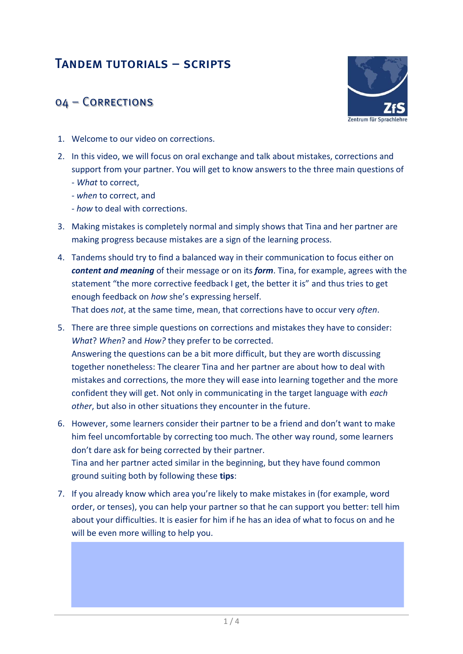## Tandem tutorials – scripts

## 04 – Corrections



- 1. Welcome to our video on corrections.
- 2. In this video, we will focus on oral exchange and talk about mistakes, corrections and support from your partner. You will get to know answers to the three main questions of - *What* to correct,
	- *when* to correct, and
	- *how* to deal with corrections.
- 3. Making mistakes is completely normal and simply shows that Tina and her partner are making progress because mistakes are a sign of the learning process.
- 4. Tandems should try to find a balanced way in their communication to focus either on *content and meaning* of their message or on its *form*. Tina, for example, agrees with the statement "the more corrective feedback I get, the better it is" and thus tries to get enough feedback on *how* she's expressing herself.

That does *not*, at the same time, mean, that corrections have to occur very *often*.

- 5. There are three simple questions on corrections and mistakes they have to consider: *What*? *When*? and *How?* they prefer to be corrected. Answering the questions can be a bit more difficult, but they are worth discussing together nonetheless: The clearer Tina and her partner are about how to deal with mistakes and corrections, the more they will ease into learning together and the more confident they will get. Not only in communicating in the target language with *each other*, but also in other situations they encounter in the future.
- 6. However, some learners consider their partner to be a friend and don't want to make him feel uncomfortable by correcting too much. The other way round, some learners don't dare ask for being corrected by their partner. Tina and her partner acted similar in the beginning, but they have found common ground suiting both by following these **tips**:
- 7. If you already know which area you're likely to make mistakes in (for example, word order, or tenses), you can help your partner so that he can support you better: tell him about your difficulties. It is easier for him if he has an idea of what to focus on and he will be even more willing to help you.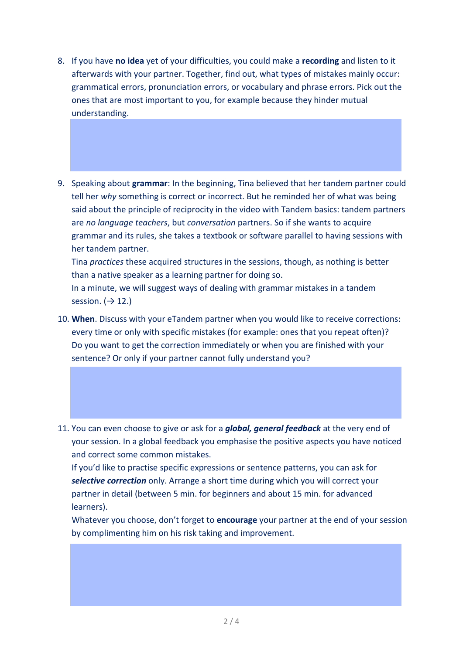- 8. If you have **no idea** yet of your difficulties, you could make a **recording** and listen to it afterwards with your partner. Together, find out, what types of mistakes mainly occur: grammatical errors, pronunciation errors, or vocabulary and phrase errors. Pick out the ones that are most important to you, for example because they hinder mutual understanding.
- 9. Speaking about **grammar**: In the beginning, Tina believed that her tandem partner could tell her *why* something is correct or incorrect. But he reminded her of what was being said about the principle of reciprocity in the video with Tandem basics: tandem partners are *no language teachers*, but *conversation* partners. So if she wants to acquire grammar and its rules, she takes a textbook or software parallel to having sessions with her tandem partner.

Tina *practices* these acquired structures in the sessions, though, as nothing is better than a native speaker as a learning partner for doing so.

In a minute, we will suggest ways of dealing with grammar mistakes in a tandem session.  $(\rightarrow 12.)$ 

- 10. **When**. Discuss with your eTandem partner when you would like to receive corrections: every time or only with specific mistakes (for example: ones that you repeat often)? Do you want to get the correction immediately or when you are finished with your sentence? Or only if your partner cannot fully understand you?
- 11. You can even choose to give or ask for a *global, general feedback* at the very end of your session. In a global feedback you emphasise the positive aspects you have noticed and correct some common mistakes.

If you'd like to practise specific expressions or sentence patterns, you can ask for *selective correction* only. Arrange a short time during which you will correct your partner in detail (between 5 min. for beginners and about 15 min. for advanced learners).

Whatever you choose, don't forget to **encourage** your partner at the end of your session by complimenting him on his risk taking and improvement.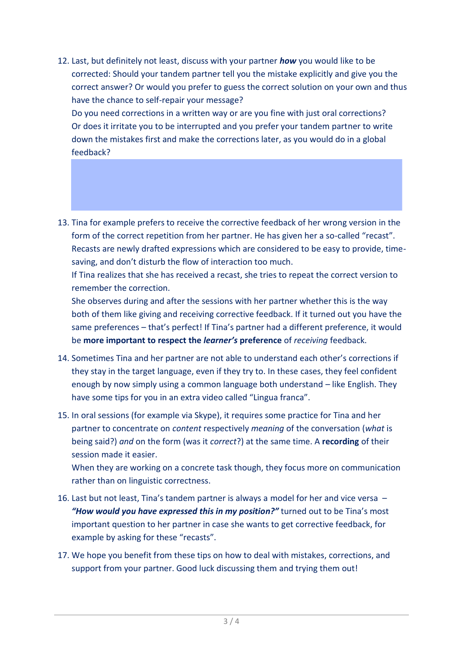12. Last, but definitely not least, discuss with your partner *how* you would like to be corrected: Should your tandem partner tell you the mistake explicitly and give you the correct answer? Or would you prefer to guess the correct solution on your own and thus have the chance to self-repair your message?

Do you need corrections in a written way or are you fine with just oral corrections? Or does it irritate you to be interrupted and you prefer your tandem partner to write down the mistakes first and make the corrections later, as you would do in a global feedback?

13. Tina for example prefers to receive the corrective feedback of her wrong version in the form of the correct repetition from her partner. He has given her a so-called "recast". Recasts are newly drafted expressions which are considered to be easy to provide, timesaving, and don't disturb the flow of interaction too much.

If Tina realizes that she has received a recast, she tries to repeat the correct version to remember the correction.

She observes during and after the sessions with her partner whether this is the way both of them like giving and receiving corrective feedback. If it turned out you have the same preferences – that's perfect! If Tina's partner had a different preference, it would be **more important to respect the** *learner's* **preference** of *receiving* feedback.

- 14. Sometimes Tina and her partner are not able to understand each other's corrections if they stay in the target language, even if they try to. In these cases, they feel confident enough by now simply using a common language both understand – like English. They have some tips for you in an extra video called "Lingua franca".
- 15. In oral sessions (for example via Skype), it requires some practice for Tina and her partner to concentrate on *content* respectively *meaning* of the conversation (*what* is being said?) *and* on the form (was it *correct*?) at the same time. A **recording** of their session made it easier.

When they are working on a concrete task though, they focus more on communication rather than on linguistic correctness.

- 16. Last but not least, Tina's tandem partner is always a model for her and vice versa *"How would you have expressed this in my position?"* turned out to be Tina's most important question to her partner in case she wants to get corrective feedback, for example by asking for these "recasts".
- 17. We hope you benefit from these tips on how to deal with mistakes, corrections, and support from your partner. Good luck discussing them and trying them out!